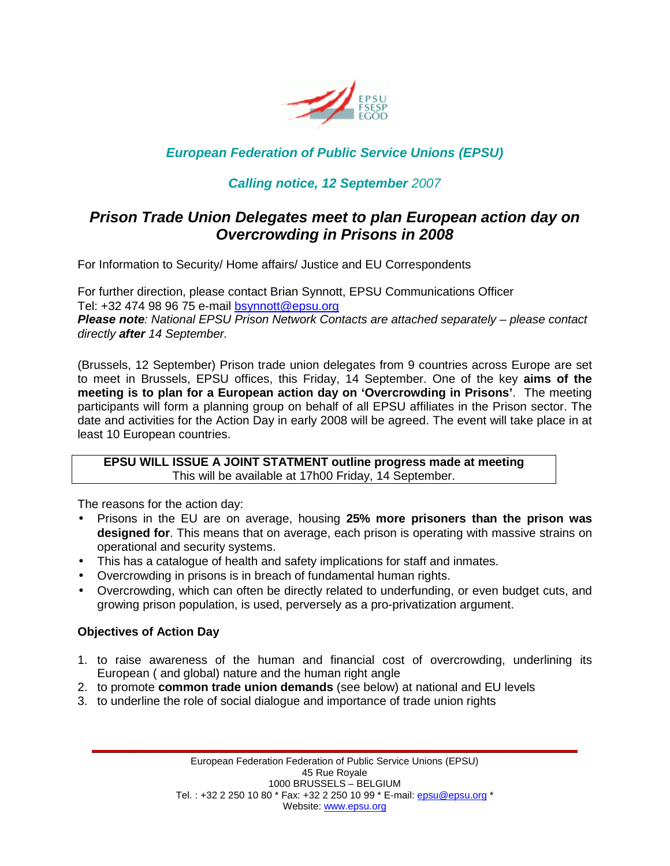

# **European Federation of Public Service Unions (EPSU)**

## **Calling notice, 12 September** 2007

# **Prison Trade Union Delegates meet to plan European action day on Overcrowding in Prisons in 2008**

For Information to Security/ Home affairs/ Justice and EU Correspondents

For further direction, please contact Brian Synnott, EPSU Communications Officer Tel: +32 474 98 96 75 e-mail bsynnott@epsu.org **Please note**: National EPSU Prison Network Contacts are attached separately – please contact directly **after** 14 September.

(Brussels, 12 September) Prison trade union delegates from 9 countries across Europe are set to meet in Brussels, EPSU offices, this Friday, 14 September. One of the key **aims of the meeting is to plan for a European action day on 'Overcrowding in Prisons'**. The meeting participants will form a planning group on behalf of all EPSU affiliates in the Prison sector. The date and activities for the Action Day in early 2008 will be agreed. The event will take place in at least 10 European countries.

**EPSU WILL ISSUE A JOINT STATMENT outline progress made at meeting**  This will be available at 17h00 Friday, 14 September.

The reasons for the action day:

- Prisons in the EU are on average, housing **25% more prisoners than the prison was designed for**. This means that on average, each prison is operating with massive strains on operational and security systems.
- This has a catalogue of health and safety implications for staff and inmates.
- Overcrowding in prisons is in breach of fundamental human rights.
- Overcrowding, which can often be directly related to underfunding, or even budget cuts, and growing prison population, is used, perversely as a pro-privatization argument.

### **Objectives of Action Day**

- 1. to raise awareness of the human and financial cost of overcrowding, underlining its European ( and global) nature and the human right angle
- 2. to promote **common trade union demands** (see below) at national and EU levels
- 3. to underline the role of social dialogue and importance of trade union rights